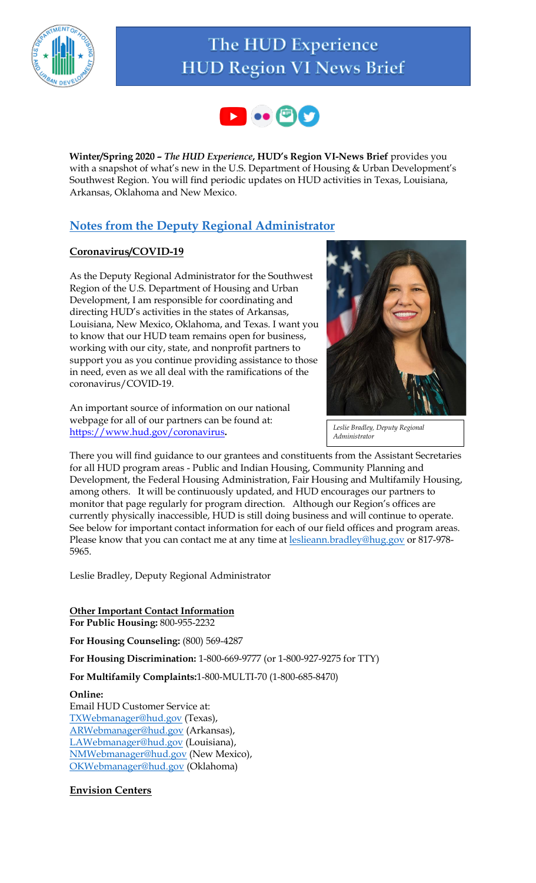

# The HUD Experience **HUD Region VI News Brief**



**Winter/Spring 2020** *– The HUD Experience***, HUD's Region VI-News Brief** provides you with a snapshot of what's new in the U.S. Department of Housing & Urban Development's Southwest Region. You will find periodic updates on HUD activities in Texas, Louisiana, Arkansas, Oklahoma and New Mexico.

### **Notes from the Deputy Regional Administrator**

### **Coronavirus/COVID-19**

As the Deputy Regional Administrator for the Southwest Region of the U.S. Department of Housing and Urban Development, I am responsible for coordinating and directing HUD's activities in the states of Arkansas, Louisiana, New Mexico, Oklahoma, and Texas. I want you to know that our HUD team remains open for business, working with our city, state, and nonprofit partners to support you as you continue providing assistance to those in need, even as we all deal with the ramifications of the coronavirus/COVID-19.

An important source of information on our national webpage for all of our partners can be found at: <https://www.hud.gov/coronavirus>**.** 



*Leslie Bradley, Deputy Regional Administrator*

There you will find guidance to our grantees and constituents from the Assistant Secretaries for all HUD program areas - Public and Indian Housing, Community Planning and Development, the Federal Housing Administration, Fair Housing and Multifamily Housing, among others. It will be continuously updated, and HUD encourages our partners to monitor that page regularly for program direction. Although our Region's offices are currently physically inaccessible, HUD is still doing business and will continue to operate. See below for important contact information for each of our field offices and program areas. Please know that you can contact me at any time at [leslieann.bradley@hug.gov](mailto:leslieann.bradley@hug.gov) or 817-978-5965.

Leslie Bradley, Deputy Regional Administrator

#### **Other Important Contact Information For Public Housing:** 800-955-2232

**For Housing Counseling:** (800) 569-4287

**For Housing Discrimination:** 1-800-669-9777 (or 1-800-927-9275 for TTY)

**For Multifamily Complaints:**1-800-MULTI-70 (1-800-685-8470)

### **Online:**

Email HUD Customer Service at: [TXWebmanager@hud.gov](mailto:TXWebmanager@hud.gov) (Texas), [ARWebmanager@hud.gov](mailto:ARWebmanager@hud.gov) (Arkansas), [LAWebmanager@hud.gov](mailto:LAWebmanager@hud.gov) (Louisiana), [NMWebmanager@hud.gov](mailto:NMWebmanager@hud.gov) (New Mexico), [OKWebmanager@hud.gov](mailto:OKWebmanager@hud.gov) (Oklahoma)

### **Envision Centers**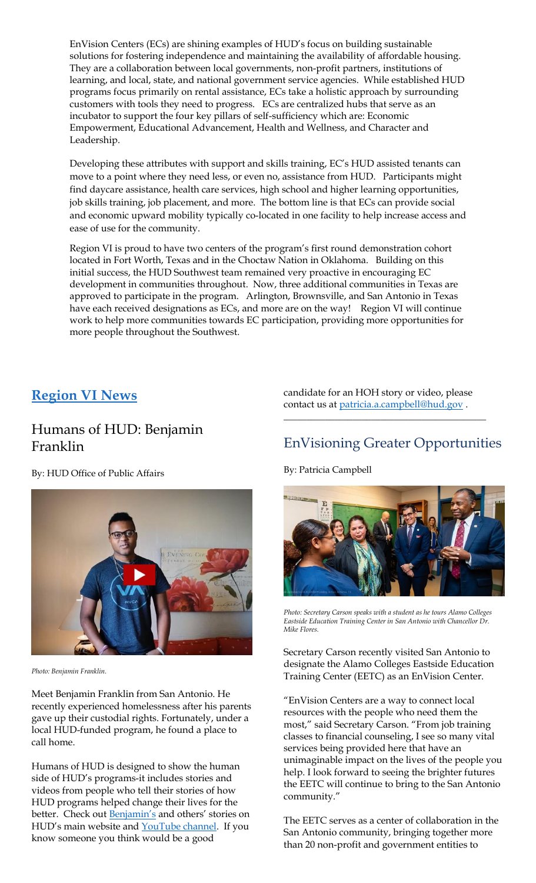EnVision Centers (ECs) are shining examples of HUD's focus on building sustainable solutions for fostering independence and maintaining the availability of affordable housing. They are a collaboration between local governments, non-profit partners, institutions of learning, and local, state, and national government service agencies. While established HUD programs focus primarily on rental assistance, ECs take a holistic approach by surrounding customers with tools they need to progress. ECs are centralized hubs that serve as an incubator to support the four key pillars of self-sufficiency which are: Economic Empowerment, Educational Advancement, Health and Wellness, and Character and Leadership.

Developing these attributes with support and skills training, EC's HUD assisted tenants can move to a point where they need less, or even no, assistance from HUD. Participants might find daycare assistance, health care services, high school and higher learning opportunities, job skills training, job placement, and more. The bottom line is that ECs can provide social and economic upward mobility typically co-located in one facility to help increase access and ease of use for the community.

Region VI is proud to have two centers of the program's first round demonstration cohort located in Fort Worth, Texas and in the Choctaw Nation in Oklahoma. Building on this initial success, the HUD Southwest team remained very proactive in encouraging EC development in communities throughout. Now, three additional communities in Texas are approved to participate in the program. Arlington, Brownsville, and San Antonio in Texas have each received designations as ECs, and more are on the way! Region VI will continue work to help more communities towards EC participation, providing more opportunities for more people throughout the Southwest.

### **Region VI News**

### Humans of HUD: Benjamin Franklin

By: HUD Office of Public Affairs



*Photo: Benjamin Franklin.*

Meet Benjamin Franklin from San Antonio. He recently experienced homelessness after his parents gave up their custodial rights. Fortunately, under a local HUD-funded program, he found a place to call home.

Humans of HUD is designed to show the human side of HUD's programs-it includes stories and videos from people who tell their stories of how HUD programs helped change their lives for the better. Check out **[Benjamin's](https://lnks.gd/l/eyJhbGciOiJIUzI1NiJ9.eyJidWxsZXRpbl9saW5rX2lkIjoxMDYsInVyaSI6ImJwMjpjbGljayIsImJ1bGxldGluX2lkIjoiMjAyMDAyMTMuMTcxNjQxNjEiLCJ1cmwiOiJodHRwczovL3lvdXR1LmJlL2lwM2swUmFKaUk4In0.oYnZ9GC3YAoneuhOgipB1V0Z-_xWHY6GxQYjhmCNlo8/br/75033833739-l)** and others' stories on HUD's main website and [YouTube channel.](https://lnks.gd/l/eyJhbGciOiJIUzI1NiJ9.eyJidWxsZXRpbl9saW5rX2lkIjoxMDgsInVyaSI6ImJwMjpjbGljayIsImJ1bGxldGluX2lkIjoiMjAyMDAyMTMuMTcxNjQxNjEiLCJ1cmwiOiJodHRwczovL3d3dy55b3V0dWJlLmNvbS9wbGF5bGlzdD9saXN0PVBMRFliajZjeWtZWjhXLUhZckhybnpCSVZwR2ZHbWFzdjMifQ.hp3ZnqT0dUafklb_eQ--YqKjDEBpRBas5bfX7_ICN6o/br/75033833739-l) If you know someone you think would be a good

candidate for an HOH story or video, please contact us at [patricia.a.campbell@hud.gov](mailto:patricia.a.campbell@hud.gov).

\_\_\_\_\_\_\_\_\_\_\_\_\_\_\_\_\_\_\_\_\_\_\_\_\_\_\_\_\_\_\_\_\_\_\_\_\_\_\_\_\_\_\_\_

### EnVisioning Greater Opportunities

By: Patricia Campbell



*Photo: Secretary Carson speaks with a student as he tours Alamo Colleges Eastside Education Training Center in San Antonio with Chancellor Dr. Mike Flores.*

Secretary Carson recently visited San Antonio to designate the Alamo Colleges Eastside Education Training Center (EETC) as an EnVision Center.

"EnVision Centers are a way to connect local resources with the people who need them the most," said Secretary Carson. "From job training classes to financial counseling, I see so many vital services being provided here that have an unimaginable impact on the lives of the people you help. I look forward to seeing the brighter futures the EETC will continue to bring to the San Antonio community."

The EETC serves as a center of collaboration in the San Antonio community, bringing together more than 20 non-profit and government entities to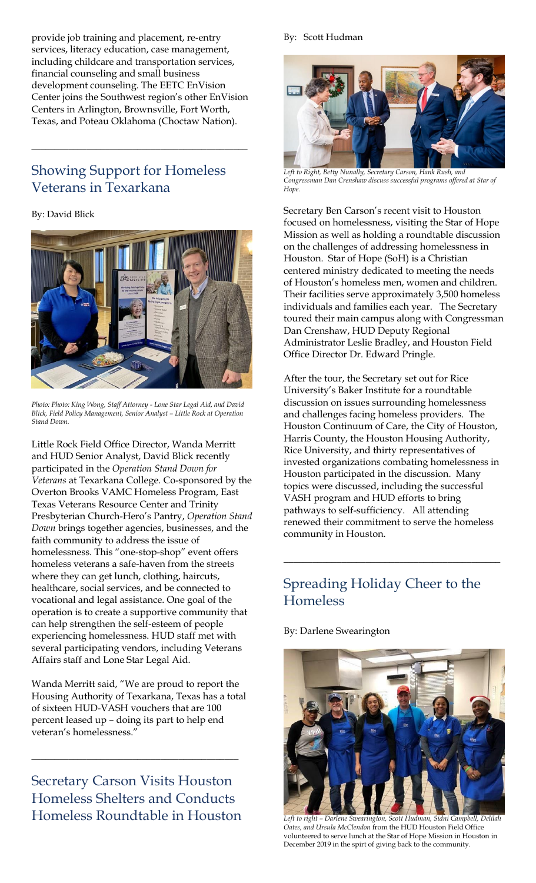provide job training and placement, re-entry services, literacy education, case management, including childcare and transportation services, financial counseling and small business development counseling. The EETC EnVision Center joins the Southwest region's other EnVision Centers in Arlington, Brownsville, Fort Worth, Texas, and Poteau Oklahoma (Choctaw Nation).

\_\_\_\_\_\_\_\_\_\_\_\_\_\_\_\_\_\_\_\_\_\_\_\_\_\_\_\_\_\_\_\_\_\_\_\_\_\_\_\_\_\_\_\_\_\_\_

## Showing Support for Homeless Veterans in Texarkana

### By: David Blick



*Photo: Photo: King Wong, Staff Attorney - Lone Star Legal Aid, and David Blick, Field Policy Management, Senior Analyst – Little Rock at Operation Stand Down.*

Little Rock Field Office Director, Wanda Merritt and HUD Senior Analyst, David Blick recently participated in the *Operation Stand Down for Veterans* at Texarkana College. Co-sponsored by the Overton Brooks VAMC Homeless Program, East Texas Veterans Resource Center and Trinity Presbyterian Church-Hero's Pantry, *Operation Stand Down* brings together agencies, businesses, and the faith community to address the issue of homelessness. This "one-stop-shop" event offers homeless veterans a safe-haven from the streets where they can get lunch, clothing, haircuts, healthcare, social services, and be connected to vocational and legal assistance. One goal of the operation is to create a supportive community that can help strengthen the self-esteem of people experiencing homelessness. HUD staff met with several participating vendors, including Veterans Affairs staff and Lone Star Legal Aid.

Wanda Merritt said, "We are proud to report the Housing Authority of Texarkana, Texas has a total of sixteen HUD-VASH vouchers that are 100 percent leased up – doing its part to help end veteran's homelessness."

Secretary Carson Visits Houston Homeless Shelters and Conducts Homeless Roundtable in Houston

\_\_\_\_\_\_\_\_\_\_\_\_\_\_\_\_\_\_\_\_\_\_\_\_\_\_\_\_\_\_\_\_\_\_\_\_\_\_\_\_\_\_\_\_\_

#### By: Scott Hudman



*Left to Right, Betty Nunally, Secretary Carson, Hank Rush, and Congressman Dan Crenshaw discuss successful programs offered at Star of Hope.*

Secretary Ben Carson's recent visit to Houston focused on homelessness, visiting the Star of Hope Mission as well as holding a roundtable discussion on the challenges of addressing homelessness in Houston. Star of Hope (SoH) is a Christian centered ministry dedicated to meeting the needs of Houston's homeless men, women and children. Their facilities serve approximately 3,500 homeless individuals and families each year. The Secretary toured their main campus along with Congressman Dan Crenshaw, HUD Deputy Regional Administrator Leslie Bradley, and Houston Field Office Director Dr. Edward Pringle.

After the tour, the Secretary set out for Rice University's Baker Institute for a roundtable discussion on issues surrounding homelessness and challenges facing homeless providers. The Houston Continuum of Care, the City of Houston, Harris County, the Houston Housing Authority, Rice University, and thirty representatives of invested organizations combating homelessness in Houston participated in the discussion. Many topics were discussed, including the successful VASH program and HUD efforts to bring pathways to self-sufficiency. All attending renewed their commitment to serve the homeless community in Houston.

### Spreading Holiday Cheer to the Homeless

\_\_\_\_\_\_\_\_\_\_\_\_\_\_\_\_\_\_\_\_\_\_\_\_\_\_\_\_\_\_\_\_\_\_\_\_\_\_\_\_\_\_\_\_\_

By: Darlene Swearington



*Left to right – Darlene Swearington, Scott Hudman, Sidni Campbell, Delilah Oates, and Ursula McClendon* from the HUD Houston Field Office volunteered to serve lunch at the Star of Hope Mission in Houston in December 2019 in the spirt of giving back to the community*.*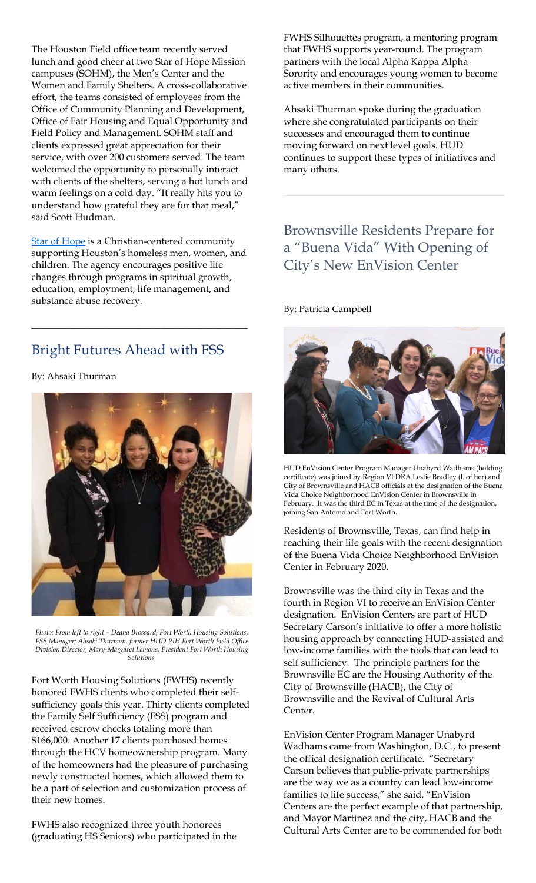The Houston Field office team recently served lunch and good cheer at two Star of Hope Mission campuses (SOHM), the Men's Center and the Women and Family Shelters. A cross-collaborative effort, the teams consisted of employees from the Office of Community Planning and Development, Office of Fair Housing and Equal Opportunity and Field Policy and Management. SOHM staff and clients expressed great appreciation for their service, with over 200 customers served. The team welcomed the opportunity to personally interact with clients of the shelters, serving a hot lunch and warm feelings on a cold day. "It really hits you to understand how grateful they are for that meal," said Scott Hudman.

**[Star of Hope](https://www.sohmission.org/) is a Christian-centered community** supporting Houston's homeless men, women, and children. The agency encourages positive life changes through programs in spiritual growth, education, employment, life management, and substance abuse recovery.

\_\_\_\_\_\_\_\_\_\_\_\_\_\_\_\_\_\_\_\_\_\_\_\_\_\_\_\_\_\_\_\_\_\_\_\_\_\_\_\_\_\_\_\_\_\_\_

### Bright Futures Ahead with FSS

By: Ahsaki Thurman



*Photo: From left to right – Deana Brossard, Fort Worth Housing Solutions, FSS Manager; Ahsaki Thurman, former HUD PIH Fort Worth Field Office Division Director, Mary-Margaret Lemons, President Fort Worth Housing Solutions.*

Fort Worth Housing Solutions (FWHS) recently honored FWHS clients who completed their selfsufficiency goals this year. Thirty clients completed the Family Self Sufficiency (FSS) program and received escrow checks totaling more than \$166,000. Another 17 clients purchased homes through the HCV homeownership program. Many of the homeowners had the pleasure of purchasing newly constructed homes, which allowed them to be a part of selection and customization process of their new homes.

FWHS also recognized three youth honorees (graduating HS Seniors) who participated in the FWHS Silhouettes program, a mentoring program that FWHS supports year-round. The program partners with the local Alpha Kappa Alpha Sorority and encourages young women to become active members in their communities.

Ahsaki Thurman spoke during the graduation where she congratulated participants on their successes and encouraged them to continue moving forward on next level goals. HUD continues to support these types of initiatives and many others.

## Brownsville Residents Prepare for a "Buena Vida" With Opening of City's New EnVision Center

By: Patricia Campbell



HUD EnVision Center Program Manager Unabyrd Wadhams (holding certificate) was joined by Region VI DRA Leslie Bradley (l. of her) and City of Brownsville and HACB officials at the designation of the Buena Vida Choice Neighborhood EnVision Center in Brownsville in February. It was the third EC in Texas at the time of the designation, joining San Antonio and Fort Worth.

Residents of Brownsville, Texas, can find help in reaching their life goals with the recent designation of the Buena Vida Choice Neighborhood EnVision Center in February 2020.

Brownsville was the third city in Texas and the fourth in Region VI to receive an EnVision Center designation. EnVision Centers are part of HUD Secretary Carson's initiative to offer a more holistic housing approach by connecting HUD-assisted and low-income families with the tools that can lead to self sufficiency. The principle partners for the Brownsville EC are the Housing Authority of the City of Brownsville (HACB), the City of Brownsville and the Revival of Cultural Arts Center.

EnVision Center Program Manager Unabyrd Wadhams came from Washington, D.C., to present the offical designation certificate. "Secretary Carson believes that public-private partnerships are the way we as a country can lead low-income families to life success," she said. "EnVision Centers are the perfect example of that partnership, and Mayor Martinez and the city, HACB and the Cultural Arts Center are to be commended for both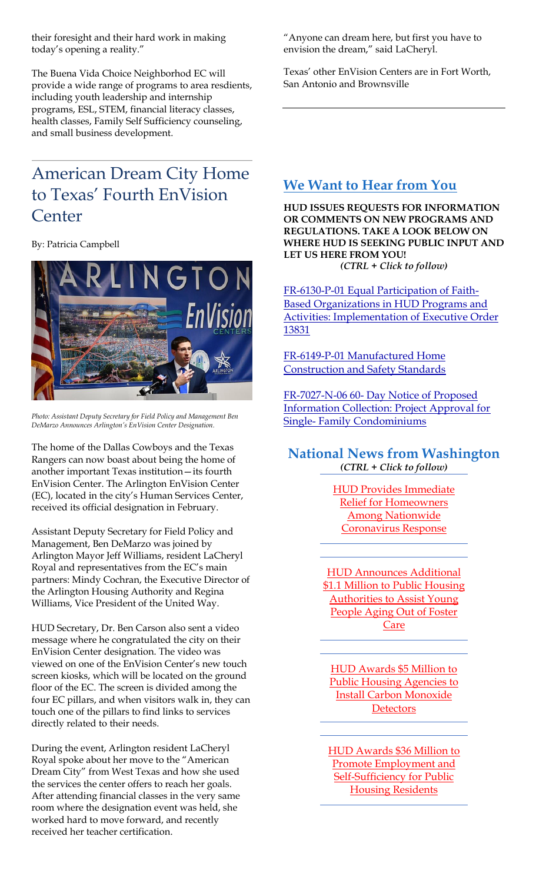their foresight and their hard work in making today's opening a reality."

The Buena Vida Choice Neighborhod EC will provide a wide range of programs to area resdients, including youth leadership and internship programs, ESL, STEM, financial literacy classes, health classes, Family Self Sufficiency counseling, and small business development.

## American Dream City Home to Texas' Fourth EnVision **Center**

By: Patricia Campbell



*Photo: Assistant Deputy Secretary for Field Policy and Management Ben DeMarzo Announces Arlington's EnVision Center Designation.*

The home of the Dallas Cowboys and the Texas Rangers can now boast about being the home of another important Texas institution—its fourth EnVision Center. The Arlington EnVision Center (EC), located in the city's Human Services Center, received its official designation in February.

Assistant Deputy Secretary for Field Policy and Management, Ben DeMarzo was joined by Arlington Mayor Jeff Williams, resident LaCheryl Royal and representatives from the EC's main partners: Mindy Cochran, the Executive Director of the Arlington Housing Authority and Regina Williams, Vice President of the United Way.

HUD Secretary, Dr. Ben Carson also sent a video message where he congratulated the city on their EnVision Center designation. The video was viewed on one of the EnVision Center's new touch screen kiosks, which will be located on the ground floor of the EC. The screen is divided among the four EC pillars, and when visitors walk in, they can touch one of the pillars to find links to services directly related to their needs.

During the event, Arlington resident LaCheryl Royal spoke about her move to the "American Dream City" from West Texas and how she used the services the center offers to reach her goals. After attending financial classes in the very same room where the designation event was held, she worked hard to move forward, and recently received her teacher certification.

"Anyone can dream here, but first you have to envision the dream," said LaCheryl.

Texas' other EnVision Centers are in Fort Worth, San Antonio and Brownsville

### **We Want to Hear from You**

**HUD ISSUES REQUESTS FOR INFORMATION OR COMMENTS ON NEW PROGRAMS AND REGULATIONS. TAKE A LOOK BELOW ON WHERE HUD IS SEEKING PUBLIC INPUT AND LET US HERE FROM YOU!** *(CTRL + Click to follow)*

[FR-6130-P-01 Equal Participation of Faith-](https://www.regulations.gov/document?D=HUD-2020-0017-0001)[Based Organizations in HUD Programs and](https://www.regulations.gov/document?D=HUD-2020-0017-0001)  [Activities: Implementation of Executive Order](https://www.regulations.gov/document?D=HUD-2020-0017-0001)  [13831](https://www.regulations.gov/document?D=HUD-2020-0017-0001)

[FR-6149-P-01 Manufactured Home](https://www.regulations.gov/document?D=HUD-2020-0015-0001)  [Construction and Safety Standards](https://www.regulations.gov/document?D=HUD-2020-0015-0001)

FR-7027-N-06 60- [Day Notice of Proposed](https://www.regulations.gov/document?D=HUD-2013-0049-0005)  [Information Collection: Project Approval for](https://www.regulations.gov/document?D=HUD-2013-0049-0005)  Single- [Family Condominiums](https://www.regulations.gov/document?D=HUD-2013-0049-0005)

### **National News from Washington** *(CTRL + Click to follow)*

[HUD Provides Immediate](https://www.hud.gov/press/press_releases_media_advisories/HUD_No_20_042)  [Relief for Homeowners](https://www.hud.gov/press/press_releases_media_advisories/HUD_No_20_042)  [Among Nationwide](https://www.hud.gov/press/press_releases_media_advisories/HUD_No_20_042)  [Coronavirus Response](https://www.hud.gov/press/press_releases_media_advisories/HUD_No_20_042) 

[HUD Announces Additional](https://www.hud.gov/press/press_releases_media_advisories/HUD_No_20_040)  \$1.1 Million to Public Housing **Authorities to Assist Young** People Aging Out of Foster [Care](https://www.hud.gov/press/press_releases_media_advisories/HUD_No_20_040)

[HUD Awards \\$5 Million to](https://www.hud.gov/press/press_releases_media_advisories/HUD_No_20_038)  **Public Housing Agencies to** [Install Carbon Monoxide](https://www.hud.gov/press/press_releases_media_advisories/HUD_No_20_038)  **[Detectors](https://www.hud.gov/press/press_releases_media_advisories/HUD_No_20_038)** 

[HUD Awards \\$36 Million to](https://www.hud.gov/press/press_releases_media_advisories/HUD_No_20_035)  [Promote Employment and](https://www.hud.gov/press/press_releases_media_advisories/HUD_No_20_035)  **Self-Sufficiency for Public** [Housing Residents](https://www.hud.gov/press/press_releases_media_advisories/HUD_No_20_035)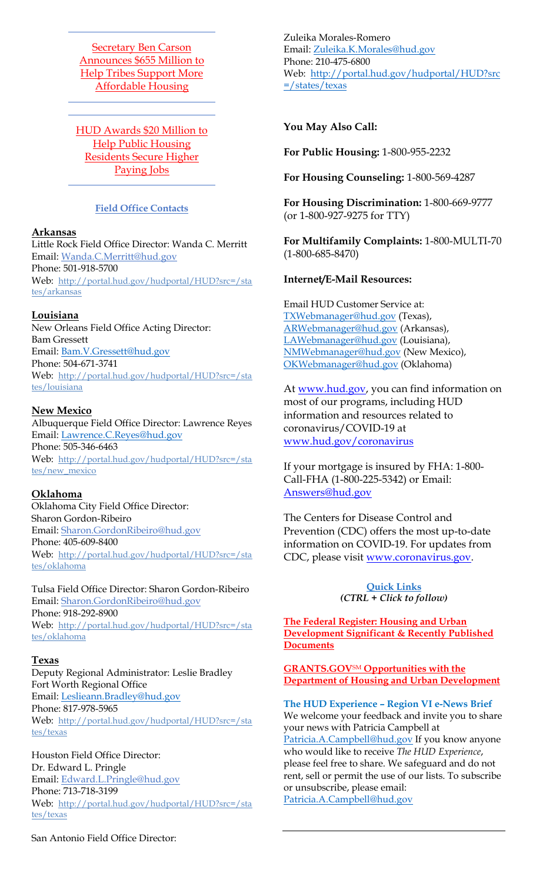[Secretary Ben Carson](https://www.hud.gov/press/press_releases_media_advisories/HUD_No_20_031)  [Announces \\$655 Million to](https://www.hud.gov/press/press_releases_media_advisories/HUD_No_20_031)  [Help Tribes Support More](https://www.hud.gov/press/press_releases_media_advisories/HUD_No_20_031)  [Affordable Housing](https://www.hud.gov/press/press_releases_media_advisories/HUD_No_20_031)

[HUD Awards \\$20 Million to](https://www.hud.gov/press/press_releases_media_advisories/HUD_No_20_029)  [Help Public Housing](https://www.hud.gov/press/press_releases_media_advisories/HUD_No_20_029)  [Residents Secure Higher](https://www.hud.gov/press/press_releases_media_advisories/HUD_No_20_029)  [Paying Jobs](https://www.hud.gov/press/press_releases_media_advisories/HUD_No_20_029)

### **Field Office Contacts**

#### **Arkansas**

Little Rock Field Office Director: Wanda C. Merritt Email: [Wanda.C.Merritt@hud.gov](mailto:Wanda.C.Merritt@hud.gov) Phone: 501-918-5700 Web: [http://portal.hud.gov/hudportal/HUD?src=/sta](http://portal.hud.gov/hudportal/HUD?src=/states/arkansas) [tes/arkansas](http://portal.hud.gov/hudportal/HUD?src=/states/arkansas)

### **Louisiana**

New Orleans Field Office Acting Director: Bam Gressett Email: [Bam.V.Gressett@hud.gov](mailto:Bam.V.Gressett@hud.gov) Phone: 504-671-3741 Web: [http://portal.hud.gov/hudportal/HUD?src=/sta](http://portal.hud.gov/hudportal/HUD?src=/states/louisiana) [tes/louisiana](http://portal.hud.gov/hudportal/HUD?src=/states/louisiana)

#### **New Mexico**

Albuquerque Field Office Director: Lawrence Reyes Email: [Lawrence.C.Reyes@hud.gov](mailto:Lawrence.C.Reyes@hud.gov) Phone: 505-346-6463 Web: [http://portal.hud.gov/hudportal/HUD?src=/sta](http://portal.hud.gov/hudportal/HUD?src=/states/new_mexico) [tes/new\\_mexico](http://portal.hud.gov/hudportal/HUD?src=/states/new_mexico)

#### **Oklahoma**

Oklahoma City Field Office Director: Sharon Gordon-Ribeiro Email: [Sharon.GordonRibeiro@hud.gov](mailto:Sharon.GordonRibeiro@hud.gov) Phone: 405-609-8400 Web: [http://portal.hud.gov/hudportal/HUD?src=/sta](http://portal.hud.gov/hudportal/HUD?src=/states/oklahoma) [tes/oklahoma](http://portal.hud.gov/hudportal/HUD?src=/states/oklahoma)

Tulsa Field Office Director: Sharon Gordon-Ribeiro Email: [Sharon.GordonRibeiro@hud.gov](mailto:Sharon.GordonRibeiro@hud.gov) Phone: 918-292-8900 Web: [http://portal.hud.gov/hudportal/HUD?src=/sta](http://portal.hud.gov/hudportal/HUD?src=/states/oklahoma) [tes/oklahoma](http://portal.hud.gov/hudportal/HUD?src=/states/oklahoma)

#### **Texas**

Deputy Regional Administrator: Leslie Bradley Fort Worth Regional Office Email: [Leslieann.Bradley@hud.gov](mailto:Leslieann.Bradley@hud.gov) Phone: 817-978-5965 Web: [http://portal.hud.gov/hudportal/HUD?src=/sta](http://portal.hud.gov/hudportal/HUD?src=/states/texas) [tes/texas](http://portal.hud.gov/hudportal/HUD?src=/states/texas)

Houston Field Office Director: Dr. Edward L. Pringle Email: [Edward.L.Pringle@hud.gov](mailto:Edward.L.Pringle@hud.gov) Phone: 713-718-3199 Web: [http://portal.hud.gov/hudportal/HUD?src=/sta](http://portal.hud.gov/hudportal/HUD?src=/states/texas) [tes/texas](http://portal.hud.gov/hudportal/HUD?src=/states/texas)

Zuleika Morales-Romero Email: [Zuleika.K.Morales@hud.gov](mailto:Zuleika.K.Morales@hud.gov) Phone: 210-475-6800 Web: [http://portal.hud.gov/hudportal/HUD?src](http://portal.hud.gov/hudportal/HUD?src=/states/texas) [=/states/texas](http://portal.hud.gov/hudportal/HUD?src=/states/texas)

### **You May Also Call:**

**For Public Housing:** 1-800-955-2232

**For Housing Counseling:** 1-800-569-4287

**For Housing Discrimination:** 1-800-669-9777 (or 1-800-927-9275 for TTY)

**For Multifamily Complaints:** 1-800-MULTI-70 (1-800-685-8470)

### **Internet/E-Mail Resources:**

Email HUD Customer Service at: [TXWebmanager@hud.gov](mailto:TXWebmanager@hud.gov) (Texas), [ARWebmanager@hud.gov](mailto:ARWebmanager@hud.gov) (Arkansas), [LAWebmanager@hud.gov](mailto:LAWebmanager@hud.gov) (Louisiana), [NMWebmanager@hud.gov](mailto:NMWebmanager@hud.gov) (New Mexico), [OKWebmanager@hud.gov](mailto:OKWebmanager@hud.gov) (Oklahoma)

At [www.hud.gov,](http://www.hud.gov/) you can find information on most of our programs, including HUD information and resources related to coronavirus/COVID-19 at [www.hud.gov/coronavirus](http://www.hud.gov/coronavirus)

If your mortgage is insured by FHA: 1-800- Call-FHA (1-800-225-5342) or Email: [Answers@hud.gov](mailto:Answers@hud.gov)

The Centers for Disease Control and Prevention (CDC) offers the most up-to-date information on COVID-19. For updates from CDC, please visit [www.coronavirus.gov.](http://www.coronavirus.gov/)

#### **Quick Links** *(CTRL + Click to follow)*

**[The Federal Register: Housing and Urban](https://www.federalregister.gov/agencies/housing-and-urban-development-department)  [Development Significant & Recently Published](https://www.federalregister.gov/agencies/housing-and-urban-development-department)  [Documents](https://www.federalregister.gov/agencies/housing-and-urban-development-department)**

**GRANTS.GOV**SM **[Opportunities with the](http://www.grants.gov/search-grants.html?agencyCode%3DHUD)  [Department of Housing and Urban Development](http://www.grants.gov/search-grants.html?agencyCode%3DHUD)**

**The HUD Experience – Region VI e-News Brief** We welcome your feedback and invite you to share your news with Patricia Campbell at [Patricia.A.Campbell@hud.gov](mailto:Patricia.A.Campbell@hud.gov) If you know anyone who would like to receive *The HUD Experience*, please feel free to share. We safeguard and do not rent, sell or permit the use of our lists. To subscribe or unsubscribe, please email: [Patricia.A.Campbell@hud.gov](mailto:Patricia.A.Campbell@hud.gov)

San Antonio Field Office Director: